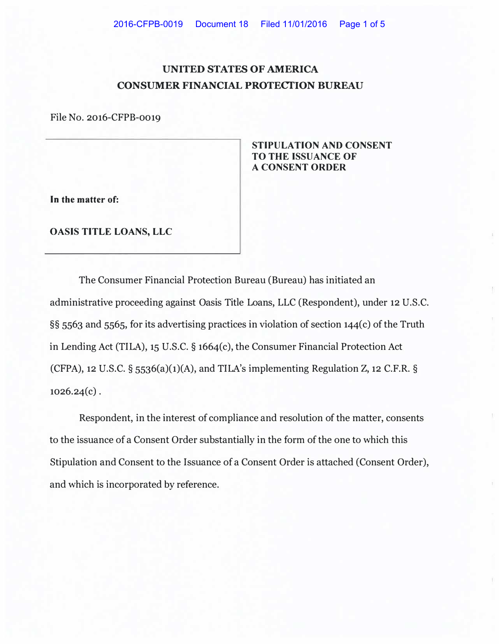## **UNITED STATES OF AMERICA CONSUMER FINANCIAL PROTECTION BUREAU**

File No. 2016-CFPB-0019

**STIPULATION AND CONSENT TO THE ISSUANCE OF A CONSENT ORDER** 

**In the matter of:** 

**OASIS TITLE LOANS, LLC** 

The Consumer Financial Protection Bureau (Bureau) has initiated an administrative proceeding against Oasis Title Loans, LLC (Respondent), under 12 U.S.C. **§§** 5563 and 5565, for its advertising practices in violation of section 144( c) of the Truth in Lending Act (TILA), 15 U.S.C. **§** 1664(c), the Consumer Financial Protection Act (CFPA), 12 U.S.C.  $\S$  5536(a)(1)(A), and TILA's implementing Regulation Z, 12 C.F.R.  $\S$  $1026.24(c)$ .

Respondent, in the interest of compliance and resolution of the matter, consents to the issuance of a Consent Order substantially in the form of the one to which this Stipulation and Consent to the Issuance of a Consent Order is attached (Consent Order), and which is incorporated by reference.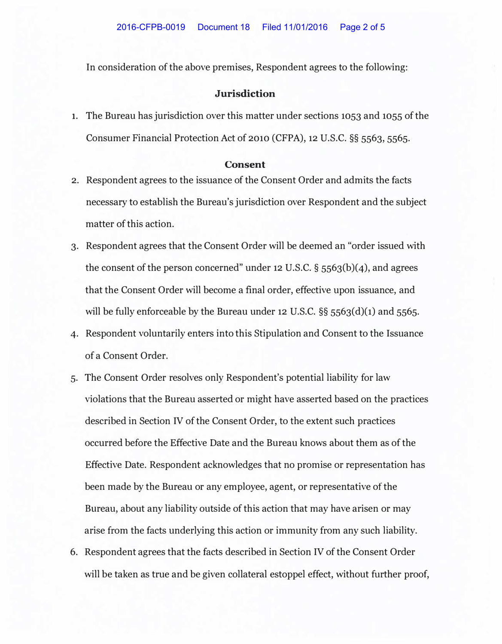In consideration of the above premises, Respondent agrees to the following:

## **Jurisdiction**

**1.** The Bureau has jurisdiction over this matter under sections 1053 and 1055 of the Consumer Financial Protection Act of 2010 (CFPA), 12 U.S.C. **§§** 5563, 5565.

## **Consent**

- 2. Respondent agrees to the issuance of the Consent Order and admits the facts necessary to establish the Bureau's jurisdiction over Respondent and the subject matter of this action.
- 3. Respondent agrees that the Consent Order will be deemed an "order issued with the consent of the person concerned" under 12 U.S.C. **§** 5563(b)(4), and agrees that the Consent Order will become a final order, effective upon issuance, and will be fully enforceable by the Bureau under 12 U.S.C. **§§** 5563(d)(1) and 5565.
- 4. Respondent voluntarily enters into this Stipulation and Consent to the Issuance of a Consent Order.
- 5. The Consent Order resolves only Respondent's potential liability for law violations that the Bureau asserted or might have asserted based on the practices described in Section IV of the Consent Order, to the extent such practices occurred before the Effective Date and the Bureau knows about them as of the Effective Date. Respondent acknowledges that no promise or representation has been made by the Bureau or any employee, agent, or representative of the Bureau, about any liability outside of this action that may have arisen or may arise from the facts underlying this action or immunity from any such liability.
- 6. Respondent agrees that the facts described in Section IV of the Consent Order will be taken as true and be given collateral estoppel effect, without further proof,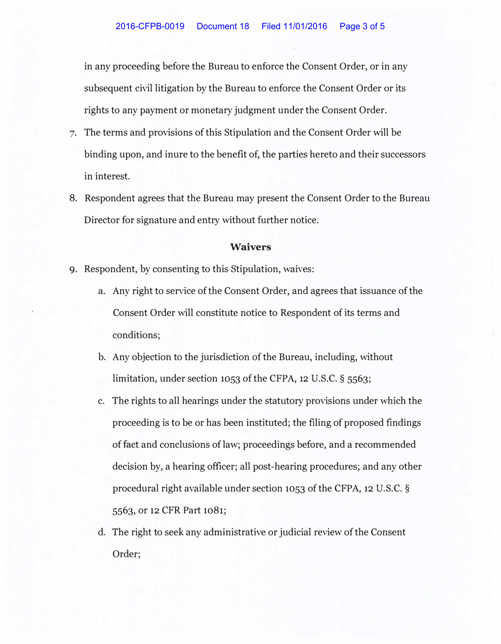in any proceeding before the Bureau to enforce the Consent Order, or in any subsequent civil litigation by the Bureau to enforce the Consent Order or its rights to any payment or monetary judgment under the Consent Order.

- 7. The terms and provisions of this Stipulation and the Consent Order will be binding upon, and inure to the benefit of, the parties hereto and their successors in interest.
- 8. Respondent agrees that the Bureau may present the Consent Order to the Bureau Director for signature and entry without further notice.

## **Waivers**

- 9. Respondent, by consenting to this Stipulation, waives:
	- a. Any right to service of the Consent Order, and agrees that issuance of the Consent Order will constitute notice to Respondent of its terms and conditions;
	- b. Any objection to the jurisdiction of the Bureau, including, without limitation, under section 1053 of the CFPA, 12 U.S.C. § 5563;
	- c. The rights to all hearings under the statutory provisions under which the proceeding is to be or has been instituted; the filing of proposed findings of fact and conclusions of law; proceedings before, and a recommended decision by, a hearing officer; all post-hearing procedures; and any other procedural right available under section 1053 of the CFPA, 12 U.S.C. § 5563, or 12 CFR Part 1081;
	- d. The right to seek any administrative or judicial review of the Consent Order;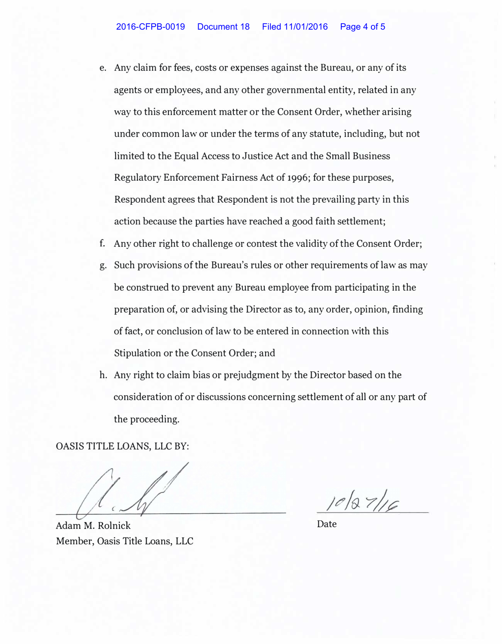- e. Any claim for fees, costs or expenses against the Bureau, or any of its agents or employees, and any other governmental entity, related in any way to this enforcement matter or the Consent Order, whether arising under common law or under the terms of any statute, including, but not limited to the Equal Access to Justice Act and the Small Business Regulatory Enforcement Fairness Act of 1996; for these purposes, Respondent agrees that Respondent is not the prevailing party in this action because the parties have reached a good faith settlement;
- f. Any other right to challenge or contest the validity of the Consent Order;
- g. Such provisions of the Bureau's rules or other requirements of law as may be construed to prevent any Bureau employee from participating in the preparation of, or advising the Director as to, any order, opinion, finding of fact, or conclusion of law to be entered in connection with this Stipulation or the Consent Order; and
- h. Any right to claim bias or prejudgment by the Director based on the consideration of or discussions concerning settlement of all or any part of the proceeding.

OASIS TITLE LOANS, LLC BY:

Adam M. Rolnick Date Member, Oasis Title Loans, LLC

 $1002716$